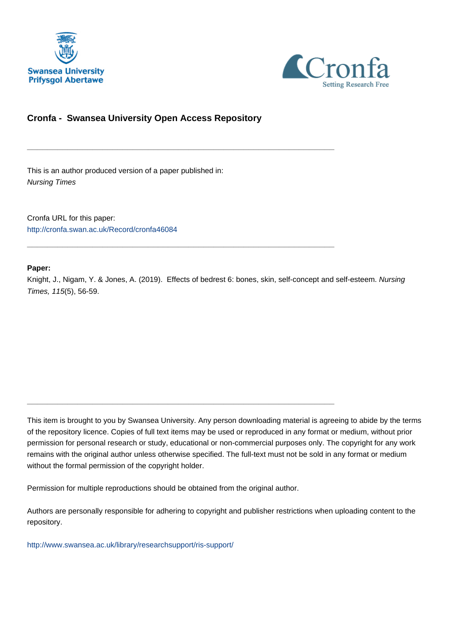



## **Cronfa - Swansea University Open Access Repository**

\_\_\_\_\_\_\_\_\_\_\_\_\_\_\_\_\_\_\_\_\_\_\_\_\_\_\_\_\_\_\_\_\_\_\_\_\_\_\_\_\_\_\_\_\_\_\_\_\_\_\_\_\_\_\_\_\_\_\_\_\_

\_\_\_\_\_\_\_\_\_\_\_\_\_\_\_\_\_\_\_\_\_\_\_\_\_\_\_\_\_\_\_\_\_\_\_\_\_\_\_\_\_\_\_\_\_\_\_\_\_\_\_\_\_\_\_\_\_\_\_\_\_

\_\_\_\_\_\_\_\_\_\_\_\_\_\_\_\_\_\_\_\_\_\_\_\_\_\_\_\_\_\_\_\_\_\_\_\_\_\_\_\_\_\_\_\_\_\_\_\_\_\_\_\_\_\_\_\_\_\_\_\_\_

This is an author produced version of a paper published in: Nursing Times

Cronfa URL for this paper: <http://cronfa.swan.ac.uk/Record/cronfa46084>

### **Paper:**

Knight, J., Nigam, Y. & Jones, A. (2019). Effects of bedrest 6: bones, skin, self-concept and self-esteem. Nursing Times, 115(5), 56-59.

This item is brought to you by Swansea University. Any person downloading material is agreeing to abide by the terms of the repository licence. Copies of full text items may be used or reproduced in any format or medium, without prior permission for personal research or study, educational or non-commercial purposes only. The copyright for any work remains with the original author unless otherwise specified. The full-text must not be sold in any format or medium without the formal permission of the copyright holder.

Permission for multiple reproductions should be obtained from the original author.

Authors are personally responsible for adhering to copyright and publisher restrictions when uploading content to the repository.

[http://www.swansea.ac.uk/library/researchsupport/ris-support/](http://www.swansea.ac.uk/library/researchsupport/ris-support/ )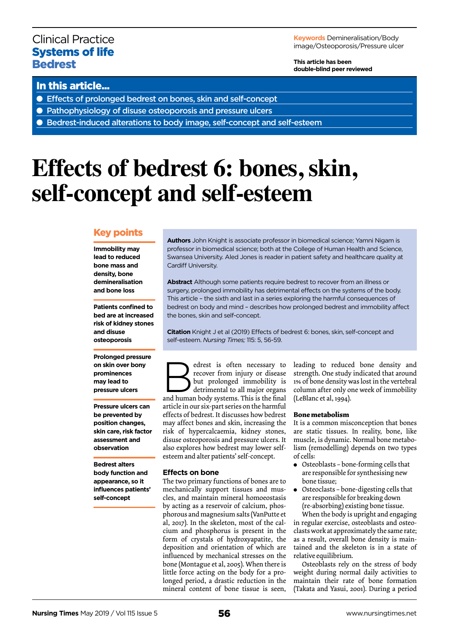## Clinical Practice Systems of life **Bedrest**

**Keywords** Demineralisation/Body image/Osteoporosis/Pressure ulcer

**This article has been double-blind peer reviewed**

## In this article...

- Effects of prolonged bedrest on bones, skin and self-concept
- Pathophysiology of disuse osteoporosis and pressure ulcers
- Bedrest-induced alterations to body image, self-concept and self-esteem

# **Effects of bedrest 6: bones, skin, self-concept and self-esteem**

## Key points

**Immobility may lead to reduced bone mass and density, bone demineralisation and bone loss** 

**Patients confined to bed are at increased risk of kidney stones and disuse osteoporosis** 

**Prolonged pressure on skin over bony prominences may lead to pressure ulcers**

**Pressure ulcers can be prevented by position changes, skin care, risk factor assessment and observation**

**Bedrest alters body function and appearance, so it influences patients' self-concept**

**Authors** John Knight is associate professor in biomedical science; Yamni Nigam is professor in biomedical science; both at the College of Human Health and Science, Swansea University. Aled Jones is reader in patient safety and healthcare quality at Cardiff University.

**Abstract** Although some patients require bedrest to recover from an illness or surgery, prolonged immobility has detrimental effects on the systems of the body. This article – the sixth and last in a series exploring the harmful consequences of bedrest on body and mind – describes how prolonged bedrest and immobility affect the bones, skin and self-concept.

**Citation** Knight J et al (2019) Effects of bedrest 6: bones, skin, self-concept and self-esteem. *Nursing Times;* 115: 5, 56-59.

edrest is often necessary to<br>
recover from injury or disease<br>
but prolonged immobility is<br>
detrimental to all major organs<br>
and human body systems. This is the final recover from injury or disease but prolonged immobility is detrimental to all major organs article in our six-part series on the harmful effects of bedrest. It discusses how bedrest may affect bones and skin, increasing the risk of hypercalcaemia, kidney stones, disuse osteoporosis and pressure ulcers. It also explores how bedrest may lower selfesteem and alter patients' self-concept.

#### **Effects on bone**

The two primary functions of bones are to mechanically support tissues and muscles, and maintain mineral homoeostasis by acting as a reservoir of calcium, phosphorous and magnesium salts (VanPutte et al, 2017). In the skeleton, most of the calcium and phosphorus is present in the form of crystals of hydroxyapatite, the deposition and orientation of which are influenced by mechanical stresses on the bone (Montague et al, 2005). When there is little force acting on the body for a prolonged period, a drastic reduction in the mineral content of bone tissue is seen,

leading to reduced bone density and strength. One study indicated that around 1% of bone density was lost in the vertebral column after only one week of immobility (LeBlanc et al, 1994).

#### **Bone metabolism**

It is a common misconception that bones are static tissues. In reality, bone, like muscle, is dynamic. Normal bone metabolism (remodelling) depends on two types of cells:

- Osteoblasts bone-forming cells that are responsible for synthesising new bone tissue;
- Osteoclasts bone-digesting cells that are responsible for breaking down (re-absorbing) existing bone tissue.

When the body is upright and engaging in regular exercise, osteoblasts and osteoclasts work at approximately the same rate; as a result, overall bone density is maintained and the skeleton is in a state of relative equilibrium.

Osteoblasts rely on the stress of body weight during normal daily activities to maintain their rate of bone formation (Takata and Yasui, 2001). During a period

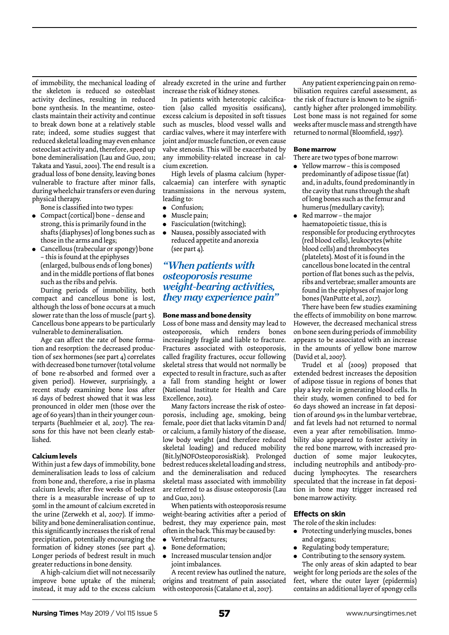of immobility, the mechanical loading of the skeleton is reduced so osteoblast activity declines, resulting in reduced bone synthesis. In the meantime, osteoclasts maintain their activity and continue to break down bone at a relatively stable rate; indeed, some studies suggest that reduced skeletal loading may even enhance osteoclast activity and, therefore, speed up bone demineralisation (Lau and Guo, 2011; Takata and Yasui, 2001). The end result is a gradual loss of bone density, leaving bones vulnerable to fracture after minor falls, during wheelchair transfers or even during physical therapy.

Bone is classified into two types:

- $\bullet$  Compact (cortical) bone dense and strong, this is primarily found in the shafts (diaphyses) of long bones such as those in the arms and legs;
- Cancellous (trabecular or spongy) bone – this is found at the epiphyses (enlarged, bulbous ends of long bones) and in the middle portions of flat bones such as the ribs and pelvis.

During periods of immobility, both compact and cancellous bone is lost, although the loss of bone occurs at a much slower rate than the loss of muscle (part 5). Cancellous bone appears to be particularly vulnerable to demineralisation.

Age can affect the rate of bone formation and resorption: the decreased production of sex hormones (see part 4) correlates with decreased bone turnover (total volume of bone re-absorbed and formed over a given period). However, surprisingly, a recent study examining bone loss after 16 days of bedrest showed that it was less pronounced in older men (those over the age of 60 years) than in their younger counterparts (Buehlmeier et al, 2017). The reasons for this have not been clearly established.

#### **Calcium levels**

Within just a few days of immobility, bone demineralisation leads to loss of calcium from bone and, therefore, a rise in plasma calcium levels; after five weeks of bedrest there is a measurable increase of up to 50ml in the amount of calcium excreted in the urine (Zerwekh et al, 2007). If immobility and bone demineralisation continue, this significantly increases the risk of renal precipitation, potentially encouraging the formation of kidney stones (see part 4). Longer periods of bedrest result in much greater reductions in bone density.

A high-calcium diet will not necessarily improve bone uptake of the mineral; instead, it may add to the excess calcium

already excreted in the urine and further increase the risk of kidney stones.

In patients with heterotopic calcification (also called myositis ossificans), excess calcium is deposited in soft tissues such as muscles, blood vessel walls and cardiac valves, where it may interfere with joint and/or muscle function, or even cause valve stenosis. This will be exacerbated by any immobility-related increase in calcium excretion.

High levels of plasma calcium (hypercalcaemia) can interfere with synaptic transmissions in the nervous system, leading to:

- Confusion;
- Muscle pain;
- Fasciculation (twitching);
- <sup>l</sup> Nausea, possibly associated with reduced appetite and anorexia (see part 4).

## *"When patients with osteoporosis resume weight-bearing activities, they may experience pain"*

#### **Bone mass and bone density**

Loss of bone mass and density may lead to osteoporosis, which renders bones increasingly fragile and liable to fracture. Fractures associated with osteoporosis, called fragility fractures, occur following skeletal stress that would not normally be expected to result in fracture, such as after a fall from standing height or lower (National Institute for Health and Care Excellence, 2012).

Many factors increase the risk of osteoporosis, including age, smoking, being female, poor diet that lacks vitamin D and/ or calcium, a family history of the disease, low body weight (and therefore reduced skeletal loading) and reduced mobility (Bit.ly/NOFOsteoporosisRisk). Prolonged bedrest reduces skeletal loading and stress, and the demineralisation and reduced skeletal mass associated with immobility are referred to as disuse osteoporosis (Lau and Guo, 2011).

When patients with osteoporosis resume weight-bearing activities after a period of bedrest, they may experience pain, most often in the back. This may be caused by:

- Vertebral fractures;
- Bone deformation;
- $\bullet$  Increased muscular tension and/or joint imbalances.

A recent review has outlined the nature, origins and treatment of pain associated with osteoporosis (Catalano et al, 2017).

Any patient experiencing pain on remobilisation requires careful assessment, as the risk of fracture is known to be significantly higher after prolonged immobility. Lost bone mass is not regained for some weeks after muscle mass and strength have returned to normal (Bloomfield, 1997).

#### **Bone marrow**

- There are two types of bone marrow:
- $\bullet$  Yellow marrow this is composed predominantly of adipose tissue (fat) and, in adults, found predominantly in the cavity that runs through the shaft of long bones such as the femur and humerus (medullary cavity);
- Red marrow the major haematopoietic tissue, this is responsible for producing erythrocytes (red blood cells), leukocytes (white blood cells) and thrombocytes (platelets). Most of it is found in the cancellous bone located in the central portion of flat bones such as the pelvis, ribs and vertebrae; smaller amounts are found in the epiphyses of major long bones (VanPutte et al, 2017).

There have been few studies examining the effects of immobility on bone marrow. However, the decreased mechanical stress on bone seen during periods of immobility appears to be associated with an increase in the amounts of yellow bone marrow (David et al, 2007).

Trudel et al (2009) proposed that extended bedrest increases the deposition of adipose tissue in regions of bones that play a key role in generating blood cells. In their study, women confined to bed for 60 days showed an increase in fat deposition of around 9% in the lumbar vertebrae, and fat levels had not returned to normal even a year after remobilisation. Immobility also appeared to foster activity in the red bone marrow, with increased production of some major leukocytes, including neutrophils and antibody-producing lymphocytes. The researchers speculated that the increase in fat deposition in bone may trigger increased red bone marrow activity.

#### **Effects on skin**

The role of the skin includes:

- Protecting underlying muscles, bones and organs;
- Regulating body temperature;
- Contributing to the sensory system.

The only areas of skin adapted to bear weight for long periods are the soles of the feet, where the outer layer (epidermis) contains an additional layer of spongy cells

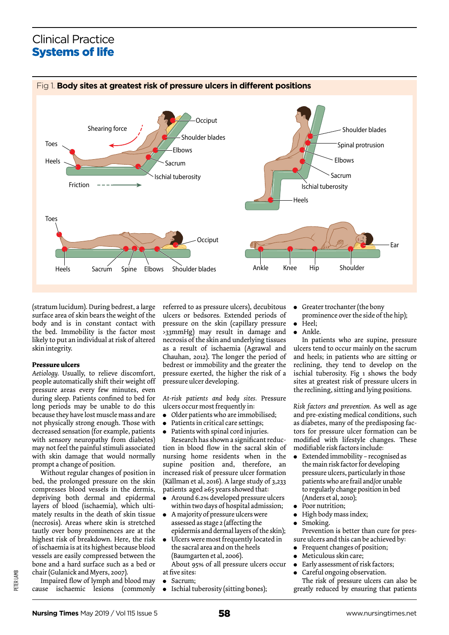## Clinical Practice Systems of life



(stratum lucidum). During bedrest, a large surface area of skin bears the weight of the body and is in constant contact with the bed. Immobility is the factor most likely to put an individual at risk of altered skin integrity.

#### **Pressure ulcers**

*Aetiology.* Usually, to relieve discomfort, people automatically shift their weight off pressure areas every few minutes, even during sleep. Patients confined to bed for long periods may be unable to do this because they have lost muscle mass and are not physically strong enough. Those with decreased sensation (for example, patients with sensory neuropathy from diabetes) may not feel the painful stimuli associated with skin damage that would normally prompt a change of position.

Without regular changes of position in bed, the prolonged pressure on the skin compresses blood vessels in the dermis, depriving both dermal and epidermal layers of blood (ischaemia), which ultimately results in the death of skin tissue (necrosis). Areas where skin is stretched tautly over bony prominences are at the highest risk of breakdown. Here, the risk of ischaemia is at its highest because blood vessels are easily compressed between the bone and a hard surface such as a bed or chair (Gulanick and Myers, 2007).

PETER LAMB

Impaired flow of lymph and blood may cause ischaemic lesions (commonly

referred to as pressure ulcers), decubitous ulcers or bedsores. Extended periods of pressure on the skin (capillary pressure >33mmHg) may result in damage and necrosis of the skin and underlying tissues as a result of ischaemia (Agrawal and Chauhan, 2012). The longer the period of bedrest or immobility and the greater the pressure exerted, the higher the risk of a pressure ulcer developing.

*At-risk patients and body sites.* Pressure ulcers occur most frequently in:

- Older patients who are immobilised;
- Patients in critical care settings;
- Patients with spinal cord injuries.

Research has shown a significant reduction in blood flow in the sacral skin of nursing home residents when in the supine position and, therefore, an increased risk of pressure ulcer formation (Källman et al, 2016). A large study of 3,233 patients aged ≥65 years showed that:

- <sup>l</sup> Around 6.2% developed pressure ulcers within two days of hospital admission;
- A majority of pressure ulcers were assessed as stage 2 (affecting the epidermis and dermal layers of the skin);
- Ulcers were most frequently located in the sacral area and on the heels (Baumgarten et al, 2006).

About 95% of all pressure ulcers occur at five sites:

- Sacrum;
- Ischial tuberosity (sitting bones);
- Greater trochanter (the bony
- prominence over the side of the hip);
- Heel;
- Ankle.

In patients who are supine, pressure ulcers tend to occur mainly on the sacrum and heels; in patients who are sitting or reclining, they tend to develop on the ischial tuberosity. Fig 1 shows the body sites at greatest risk of pressure ulcers in the reclining, sitting and lying positions.

*Risk factors and prevention.* As well as age and pre-existing medical conditions, such as diabetes, many of the predisposing factors for pressure ulcer formation can be modified with lifestyle changes. These modifiable risk factors include:

- Extended immobility recognised as the main risk factor for developing pressure ulcers, particularly in those patients who are frail and/or unable to regularly change position in bed (Anders et al, 2010);
- Poor nutrition;
- $\bullet$  High body mass index;
- Smoking.

Prevention is better than cure for pressure ulcers and this can be achieved by:

- Frequent changes of position;
- Meticulous skin care;
- Early assessment of risk factors;
- Careful ongoing observation.

The risk of pressure ulcers can also be greatly reduced by ensuring that patients